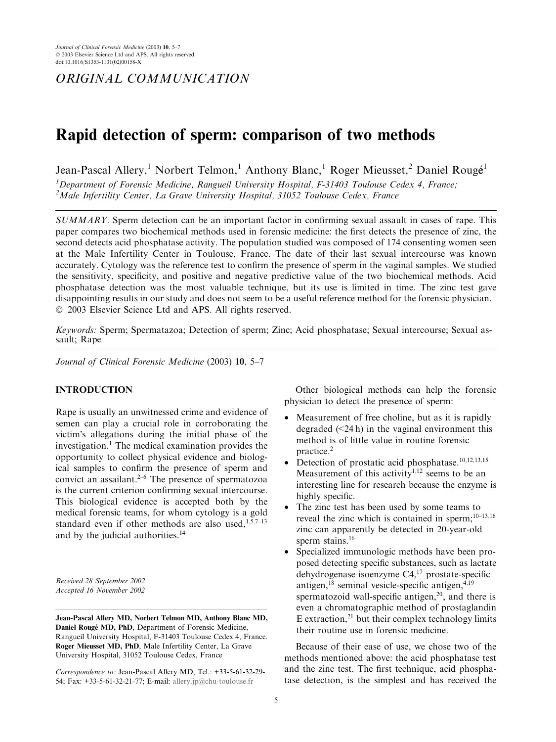ORIGINAL COMMUNICATION

# Rapid detection of sperm: comparison of two methods

Jean-Pascal Allery,<sup>1</sup> Norbert Telmon,<sup>1</sup> Anthony Blanc,<sup>1</sup> Roger Mieusset,<sup>2</sup> Daniel Rougé<sup>1</sup> <sup>1</sup>Department of Forensic Medicine, Rangueil University Hospital, F-31403 Toulouse Cedex 4, France; <sup>2</sup>Male Infertility Center, La Grave University Hospital, 31052 Toulouse Cedex, France

SUMMARY. Sperm detection can be an important factor in confirming sexual assault in cases of rape. This paper compares two biochemical methods used in forensic medicine: the first detects the presence of zinc, the second detects acid phosphatase activity. The population studied was composed of 174 consenting women seen at the Male Infertility Center in Toulouse, France. The date of their last sexual intercourse was known accurately. Cytology was the reference test to confirm the presence of sperm in the vaginal samples. We studied the sensitivity, specificity, and positive and negative predictive value of the two biochemical methods. Acid phosphatase detection was the most valuable technique, but its use is limited in time. The zinc test gave disappointing results in our study and does not seem to be a useful reference method for the forensic physician. 2003 Elsevier Science Ltd and APS. All rights reserved.

Keywords: Sperm; Spermatazoa; Detection of sperm; Zinc; Acid phosphatase; Sexual intercourse; Sexual assault; Rape

Journal of Clinical Forensic Medicine (2003) 10, 5–7

# INTRODUCTION

Rape is usually an unwitnessed crime and evidence of semen can play a crucial role in corroborating the victim's allegations during the initial phase of the investigation.<sup>1</sup> The medical examination provides the opportunity to collect physical evidence and biological samples to confirm the presence of sperm and convict an assailant. $2-6$  The presence of spermatozoa is the current criterion confirming sexual intercourse. This biological evidence is accepted both by the medical forensic teams, for whom cytology is a gold standard even if other methods are also used, $1,5,7-13$ and by the judicial authorities.<sup>14</sup>

Received 28 September 2002 Accepted 16 November 2002

Jean-Pascal Allery MD, Norbert Telmon MD, Anthony Blanc MD, Daniel Rougé MD, PhD, Department of Forensic Medicine, Rangueil University Hospital, F-31403 Toulouse Cedex 4, France. Roger Mieusset MD, PhD, Male Infertility Center, La Grave University Hospital, 31052 Toulouse Cedex, France

–––––––––––––––––––––––––––––––––––––––––––––––––––––––––

Correspondence to: Jean-Pascal Allery MD, Tel.: +33-5-61-32-29- 54; Fax: +33-5-61-32-21-77; E-mail: [allery.jp@chu-toulouse.fr](mail to: allery.jp@chu-toulouse.fr)

Other biological methods can help the forensic physician to detect the presence of sperm:

- Measurement of free choline, but as it is rapidly degraded  $(\leq 24 h)$  in the vaginal environment this method is of little value in routine forensic practice.<sup>2</sup>
- Detection of prostatic acid phosphatase. $10,12,13,15$ Measurement of this activity<sup>1,12</sup> seems to be an interesting line for research because the enzyme is highly specific.
- The zinc test has been used by some teams to reveal the zinc which is contained in sperm;<sup>10-13,16</sup> zinc can apparently be detected in 20-year-old sperm stains.<sup>16</sup>
- Specialized immunologic methods have been proposed detecting specific substances, such as lactate dehydrogenase isoenzyme  $C4$ ,<sup>17</sup> prostate-specific antigen, $^{18}$  seminal vesicle-specific antigen, $^{4,19}$ spermatozoid wall-specific antigen, $2<sup>0</sup>$ , and there is even a chromatographic method of prostaglandin E extraction,<sup>21</sup> but their complex technology limits their routine use in forensic medicine.

Because of their ease of use, we chose two of the methods mentioned above: the acid phosphatase test and the zinc test. The first technique, acid phosphatase detection, is the simplest and has received the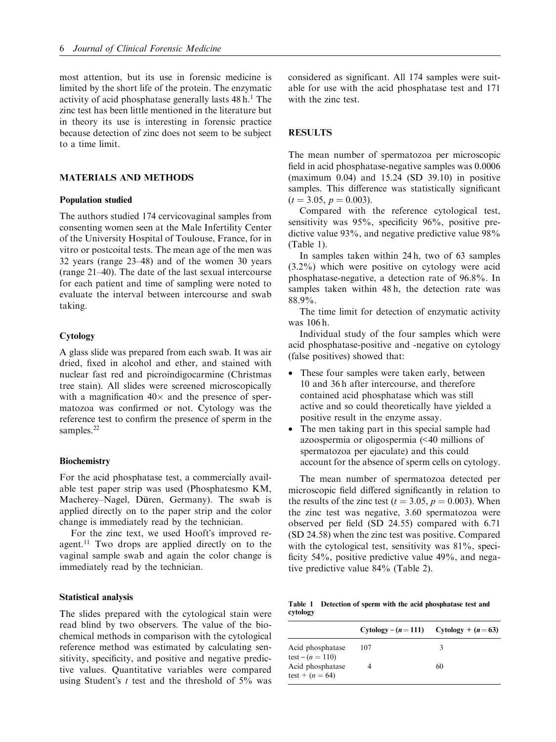most attention, but its use in forensic medicine is limited by the short life of the protein. The enzymatic activity of acid phosphatase generally lasts  $48 h<sup>1</sup>$ . The zinc test has been little mentioned in the literature but in theory its use is interesting in forensic practice because detection of zinc does not seem to be subject to a time limit.

## MATERIALS AND METHODS

## Population studied

The authors studied 174 cervicovaginal samples from consenting women seen at the Male Infertility Center of the University Hospital of Toulouse, France, for in vitro or postcoital tests. The mean age of the men was 32 years (range 23–48) and of the women 30 years (range 21–40). The date of the last sexual intercourse for each patient and time of sampling were noted to evaluate the interval between intercourse and swab taking.

## **Cytology**

A glass slide was prepared from each swab. It was air dried, fixed in alcohol and ether, and stained with nuclear fast red and picroindigocarmine (Christmas tree stain). All slides were screened microscopically with a magnification  $40 \times$  and the presence of spermatozoa was confirmed or not. Cytology was the reference test to confirm the presence of sperm in the samples.<sup>22</sup>

## **Biochemistry**

For the acid phosphatase test, a commercially available test paper strip was used (Phosphatesmo KM, Macherey-Nagel, Düren, Germany). The swab is applied directly on to the paper strip and the color change is immediately read by the technician.

For the zinc text, we used Hooft's improved reagent.<sup>11</sup> Two drops are applied directly on to the vaginal sample swab and again the color change is immediately read by the technician.

#### Statistical analysis

The slides prepared with the cytological stain were read blind by two observers. The value of the biochemical methods in comparison with the cytological reference method was estimated by calculating sensitivity, specificity, and positive and negative predictive values. Quantitative variables were compared using Student's t test and the threshold of  $5\%$  was considered as significant. All 174 samples were suitable for use with the acid phosphatase test and 171 with the zinc test.

## RESULTS

The mean number of spermatozoa per microscopic field in acid phosphatase-negative samples was 0.0006 (maximum 0.04) and 15.24 (SD 39.10) in positive samples. This difference was statistically significant  $(t = 3.05, p = 0.003).$ 

Compared with the reference cytological test, sensitivity was 95%, specificity 96%, positive predictive value 93%, and negative predictive value 98% (Table 1).

In samples taken within 24 h, two of 63 samples (3.2%) which were positive on cytology were acid phosphatase-negative, a detection rate of 96.8%. In samples taken within 48 h, the detection rate was 88.9%.

The time limit for detection of enzymatic activity was 106 h.

Individual study of the four samples which were acid phosphatase-positive and -negative on cytology (false positives) showed that:

- These four samples were taken early, between 10 and 36 h after intercourse, and therefore contained acid phosphatase which was still active and so could theoretically have yielded a positive result in the enzyme assay.
- The men taking part in this special sample had azoospermia or oligospermia (<40 millions of spermatozoa per ejaculate) and this could account for the absence of sperm cells on cytology.

The mean number of spermatozoa detected per microscopic field differed significantly in relation to the results of the zinc test ( $t = 3.05$ ,  $p = 0.003$ ). When the zinc test was negative, 3.60 spermatozoa were observed per field (SD 24.55) compared with 6.71 (SD 24.58) when the zinc test was positive. Compared with the cytological test, sensitivity was 81%, specificity 54%, positive predictive value 49%, and negative predictive value 84% (Table 2).

Table 1 Detection of sperm with the acid phosphatase test and cytology

|                                                             | $Cytology - (n = 111)$ $Cytology + (n = 63)$ |    |
|-------------------------------------------------------------|----------------------------------------------|----|
| Acid phosphatase                                            | 107                                          | З  |
| test – $(n = 110)$<br>Acid phosphatase<br>test + $(n = 64)$ |                                              | 60 |
|                                                             |                                              |    |